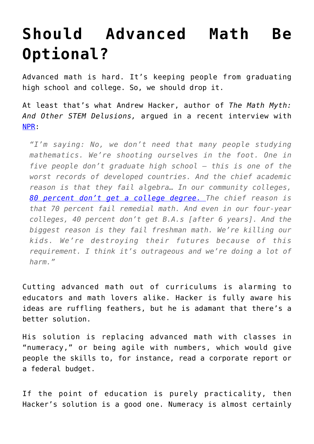## **[Should Advanced Math Be](https://intellectualtakeout.org/2016/03/should-advanced-math-be-optional/) [Optional?](https://intellectualtakeout.org/2016/03/should-advanced-math-be-optional/)**

Advanced math is hard. It's keeping people from graduating high school and college. So, we should drop it.

At least that's what Andrew Hacker, author of *The Math Myth: And Other STEM Delusions,* argued in a recent interview with [NPR:](http://www.npr.org/sections/ed/2016/03/02/468251401/lets-stop-requiring-advanced-math-a-new-book-argues)

*"I'm saying: No, we don't need that many people studying mathematics. We're shooting ourselves in the foot. One in five people don't graduate high school — this is one of the worst records of developed countries. And the chief academic reason is that they fail algebra… In our community colleges, [80 percent don't get a college degree.](http://www.npr.org/sections/ed/2014/10/09/354645977/who-needs-algebra) The chief reason is that 70 percent fail remedial math. And even in our four-year colleges, 40 percent don't get B.A.s [after 6 years]. And the biggest reason is they fail freshman math. We're killing our kids. We're destroying their futures because of this requirement. I think it's outrageous and we're doing a lot of harm."*

Cutting advanced math out of curriculums is alarming to educators and math lovers alike. Hacker is fully aware his ideas are ruffling feathers, but he is adamant that there's a better solution.

His solution is replacing advanced math with classes in "numeracy," or being agile with numbers, which would give people the skills to, for instance, read a corporate report or a federal budget.

If the point of education is purely practicality, then Hacker's solution is a good one. Numeracy is almost certainly